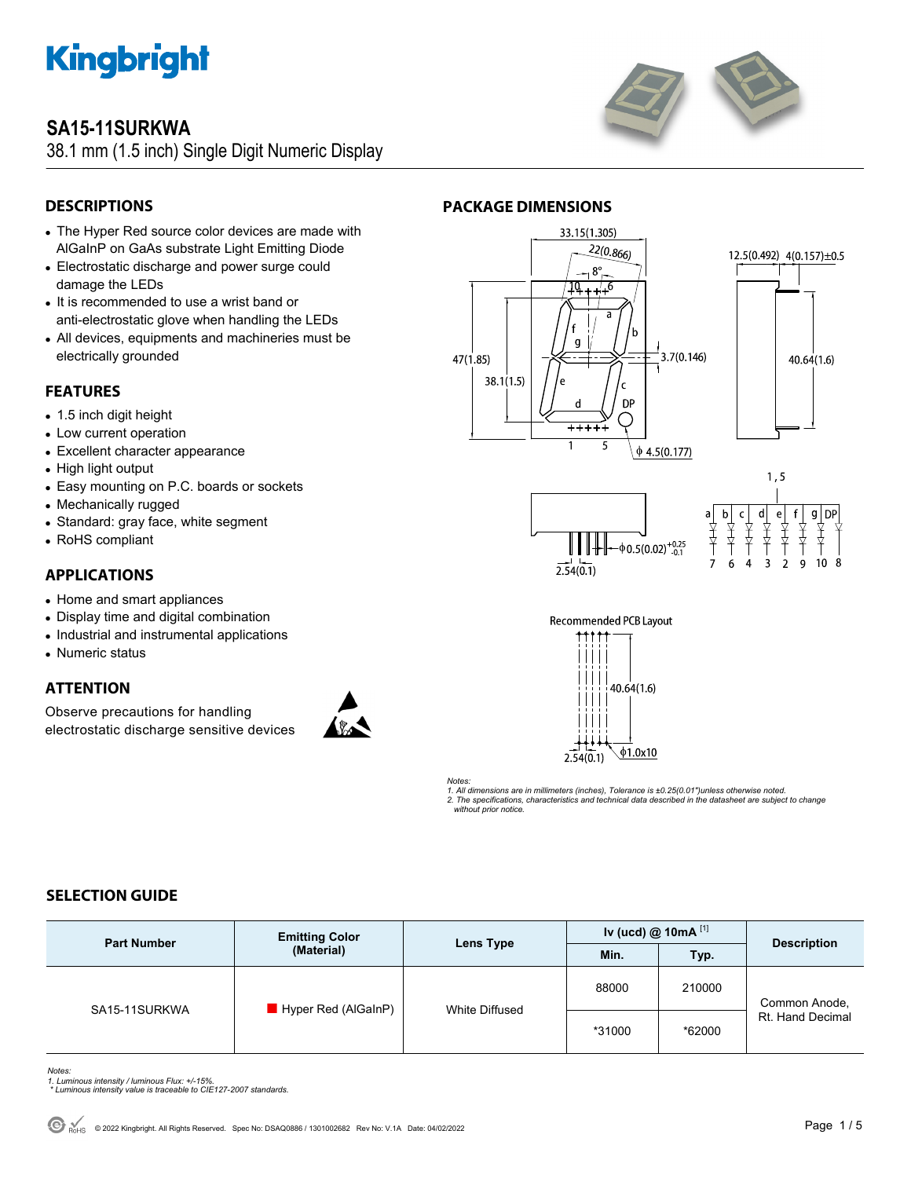

### **SA15-11SURKWA**

38.1 mm (1.5 inch) Single Digit Numeric Display



### **DESCRIPTIONS**

- The Hyper Red source color devices are made with AlGaInP on GaAs substrate Light Emitting Diode
- Electrostatic discharge and power surge could damage the LEDs
- It is recommended to use a wrist band or anti-electrostatic glove when handling the LEDs
- All devices, equipments and machineries must be electrically grounded

#### **FEATURES**

- 1.5 inch digit height
- Low current operation
- Excellent character appearance
- High light output
- Easy mounting on P.C. boards or sockets
- Mechanically rugged
- Standard: gray face, white segment
- RoHS compliant

#### **APPLICATIONS**

- Home and smart appliances
- Display time and digital combination
- Industrial and instrumental applications
- Numeric status

#### **ATTENTION**

Observe precautions for handling electrostatic discharge sensitive devices



#### **PACKAGE DIMENSIONS**













*Notes: 1. All dimensions are in millimeters (inches), Tolerance is ±0.25(0.01")unless otherwise noted. 2. The specifications, characteristics and technical data described in the datasheet are subject to change without prior notice.* 

### **SELECTION GUIDE**

| <b>Part Number</b> | <b>Emitting Color</b><br>(Material) | Lens Type      | Iv (ucd) $@$ 10mA $^{[1]}$ |        | <b>Description</b>                |
|--------------------|-------------------------------------|----------------|----------------------------|--------|-----------------------------------|
|                    |                                     |                | Min.                       | Typ.   |                                   |
| SA15-11SURKWA      | Hyper Red (AlGaInP)                 | White Diffused | 88000                      | 210000 | Common Anode,<br>Rt. Hand Decimal |
|                    |                                     |                | *31000                     | *62000 |                                   |

*Notes:* 

- *1. Luminous intensity / luminous Flux: +/-15%. \* Luminous intensity value is traceable to CIE127-2007 standards.*
-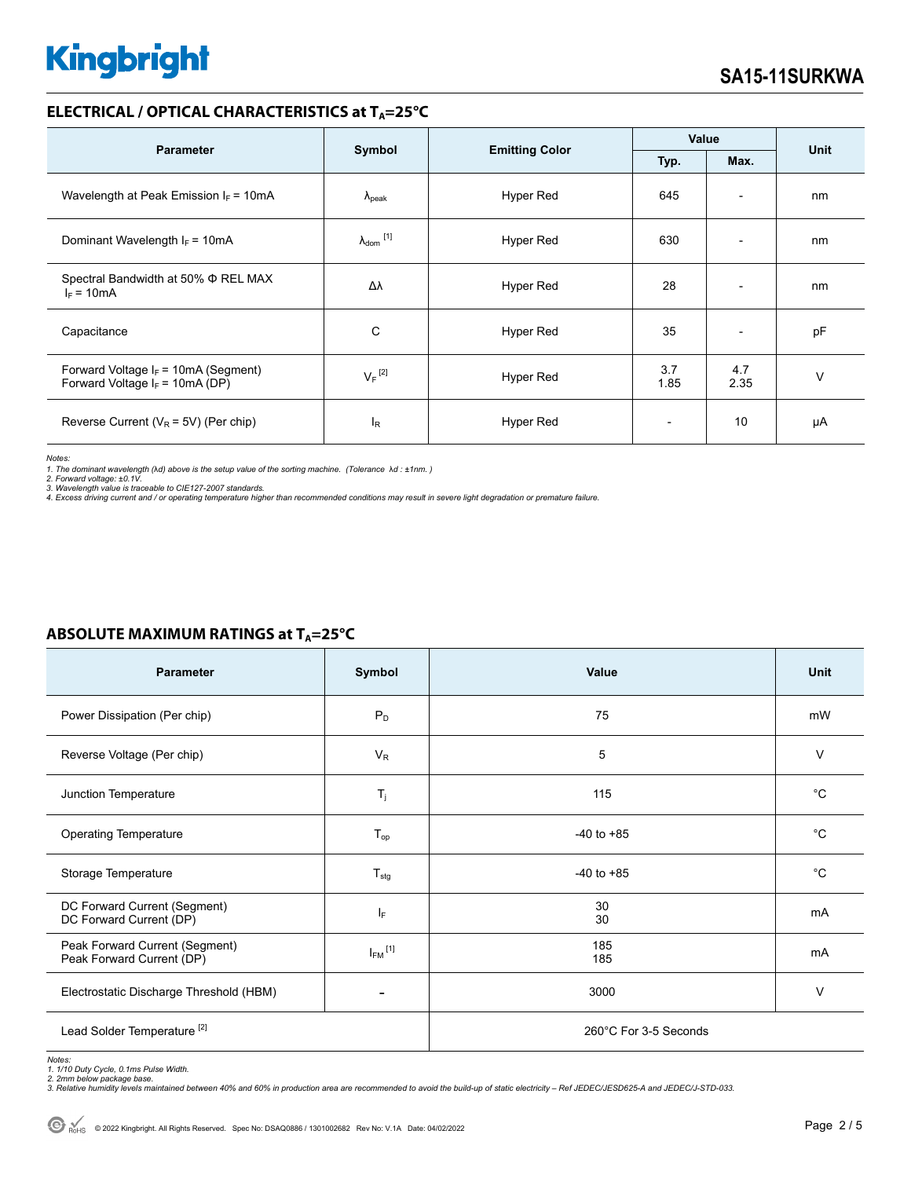#### **ELECTRICAL / OPTICAL CHARACTERISTICS at T<sub>A</sub>=25°C**

|                                                                             |                            |                       | Value                    |                          | <b>Unit</b> |
|-----------------------------------------------------------------------------|----------------------------|-----------------------|--------------------------|--------------------------|-------------|
| <b>Parameter</b>                                                            | Symbol                     | <b>Emitting Color</b> | Typ.<br>Max.             |                          |             |
| Wavelength at Peak Emission $I_F = 10mA$                                    | $\lambda_{\rm peak}$       | Hyper Red             | 645                      | $\overline{\phantom{a}}$ | nm          |
| Dominant Wavelength $I_F = 10mA$                                            | $\lambda_{\text{dom}}$ [1] | Hyper Red             | 630                      | $\overline{\phantom{0}}$ | nm          |
| Spectral Bandwidth at 50% Φ REL MAX<br>$I_F = 10mA$                         | Δλ                         | Hyper Red             | 28                       | $\overline{\phantom{0}}$ | nm          |
| Capacitance                                                                 | C                          | Hyper Red             | 35                       | $\overline{\phantom{a}}$ | pF          |
| Forward Voltage $I_F$ = 10mA (Segment)<br>Forward Voltage $I_F$ = 10mA (DP) | $V_F$ <sup>[2]</sup>       | Hyper Red             | 3.7<br>1.85              | 4.7<br>2.35              | $\vee$      |
| Reverse Current ( $V_R$ = 5V) (Per chip)                                    | $I_R$                      | Hyper Red             | $\overline{\phantom{a}}$ | 10                       | μA          |

*Notes:* 

*1. The dominant wavelength (*λ*d) above is the setup value of the sorting machine. (Tolerance* λ*d : ±1nm. ) 2. Forward voltage: ±0.1V.* 

3. Wavelength value is traceable to CIE127-2007 standards.<br>4. Excess driving current and / or operating temperature higher than recommended conditions may result in severe light degradation or premature failure.

| <b>Parameter</b>                                            | Symbol                  | Value                 | <b>Unit</b> |  |
|-------------------------------------------------------------|-------------------------|-----------------------|-------------|--|
| Power Dissipation (Per chip)                                | $P_D$                   | 75                    | mW          |  |
| Reverse Voltage (Per chip)                                  | $V_{R}$                 | 5                     | $\vee$      |  |
| Junction Temperature                                        | $T_j$                   | 115                   | $^{\circ}C$ |  |
| <b>Operating Temperature</b>                                | $T_{op}$                | $-40$ to $+85$        | $^{\circ}C$ |  |
| Storage Temperature                                         | $T_{\text{stg}}$        | $-40$ to $+85$        | $^{\circ}C$ |  |
| DC Forward Current (Segment)<br>DC Forward Current (DP)     | IF.                     | 30<br>30              | mA          |  |
| Peak Forward Current (Segment)<br>Peak Forward Current (DP) | $I_{FM}$ <sup>[1]</sup> | 185<br>185            | mA          |  |
| Electrostatic Discharge Threshold (HBM)                     |                         | 3000                  | $\vee$      |  |
| Lead Solder Temperature <sup>[2]</sup>                      |                         | 260°C For 3-5 Seconds |             |  |

### **ABSOLUTE MAXIMUM RATINGS at T<sub>A</sub>=25°C**

*Notes: 1. 1/10 Duty Cycle, 0.1ms Pulse Width.* 

*2. 2mm below package base. 3. Relative humidity levels maintained between 40% and 60% in production area are recommended to avoid the build-up of static electricity – Ref JEDEC/JESD625-A and JEDEC/J-STD-033.*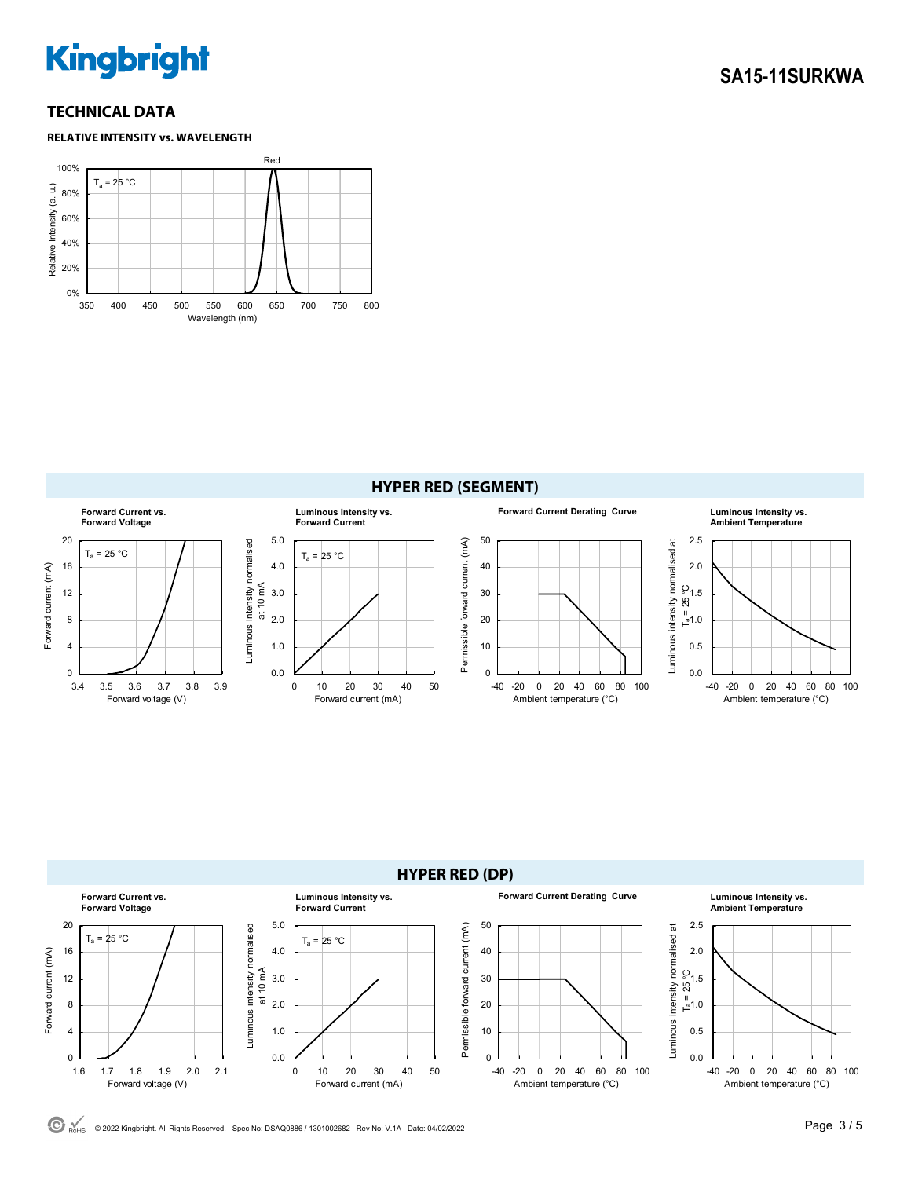### **TECHNICAL DATA**









 $\odot$  RoHS © 2022 Kingbright. All Rights Reserved. Spec No: DSAQ0886 / 1301002682 Rev No: V.1A Date: 04/02/2022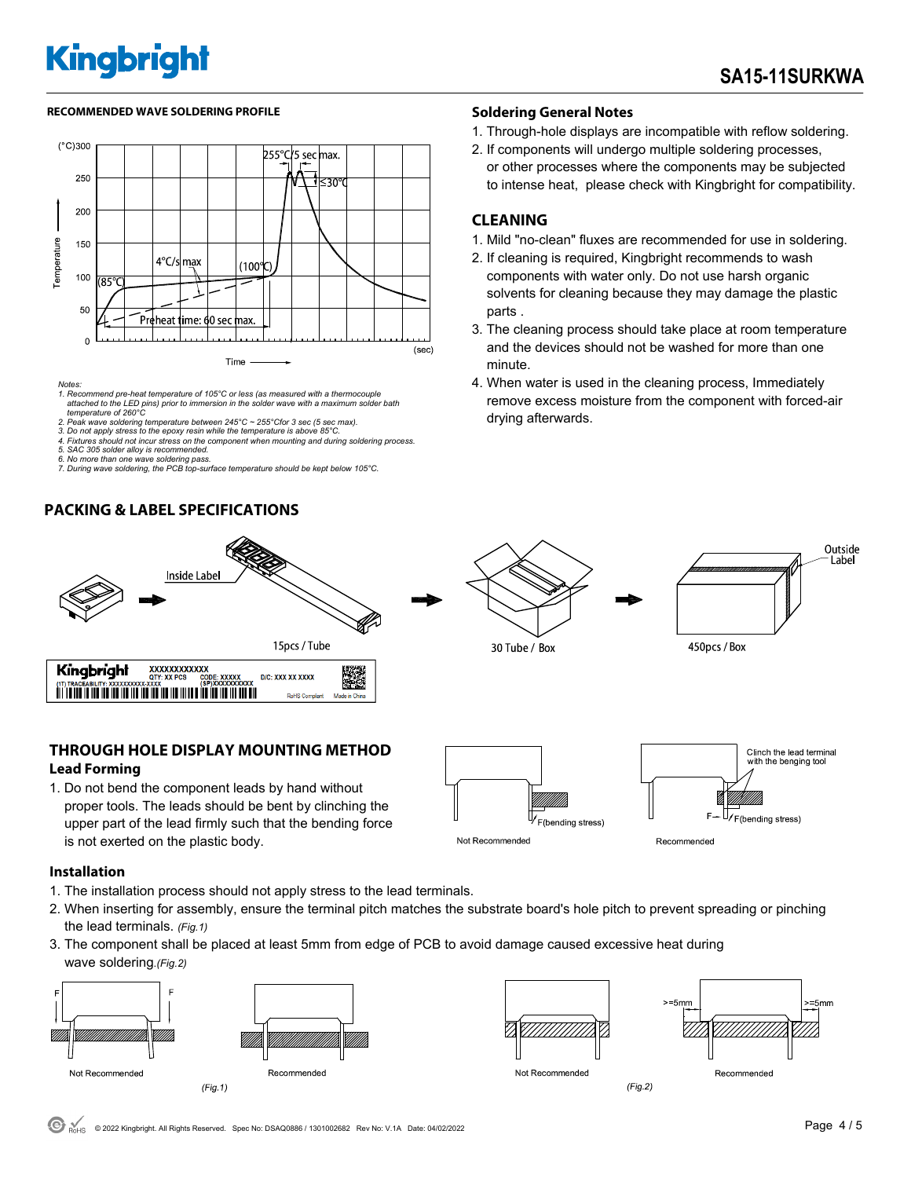#### **RECOMMENDED WAVE SOLDERING PROFILE Soldering General Notes**



*Notes:* 

- *1. Recommend pre-heat temperature of 105°C or less (as measured with a thermocouple attached to the LED pins) prior to immersion in the solder wave with a maximum solder bath temperature of 260°C*
- *2. Peak wave soldering temperature between 245°C ~ 255°Cfor 3 sec (5 sec max).*
- *3. Do not apply stress to the epoxy resin while the temperature is above 85°C. 4. Fixtures should not incur stress on the component when mounting and during soldering process.*
- *5. SAC 305 solder alloy is recommended.*
- 
- *6. No more than one wave soldering pass. 7. During wave soldering, the PCB top-surface temperature should be kept below 105°C.*

#### **PACKING & LABEL SPECIFICATIONS**



- 1. Through-hole displays are incompatible with reflow soldering.
- 2. If components will undergo multiple soldering processes, or other processes where the components may be subjected to intense heat, please check with Kingbright for compatibility.

#### **CLEANING**

30 Tube / Box

- 1. Mild "no-clean" fluxes are recommended for use in soldering.
- 2. If cleaning is required, Kingbright recommends to wash components with water only. Do not use harsh organic solvents for cleaning because they may damage the plastic parts .
- 3. The cleaning process should take place at room temperature and the devices should not be washed for more than one minute.
- 4. When water is used in the cleaning process, Immediately remove excess moisture from the component with forced-air drying afterwards.

450pcs / Box



#### **THROUGH HOLE DISPLAY MOUNTING METHOD Lead Forming**

1. Do not bend the component leads by hand without proper tools. The leads should be bent by clinching the upper part of the lead firmly such that the bending force is not exerted on the plastic body.



#### **Installation**

- 1. The installation process should not apply stress to the lead terminals.
- 2. When inserting for assembly, ensure the terminal pitch matches the substrate board's hole pitch to prevent spreading or pinching the lead terminals. *(Fig.1)*
- 3. The component shall be placed at least 5mm from edge of PCB to avoid damage caused excessive heat during wave soldering.*(Fig.2)*





 $(Fig.2)$ 

 $-5$ mm

Recommended

Outside Label